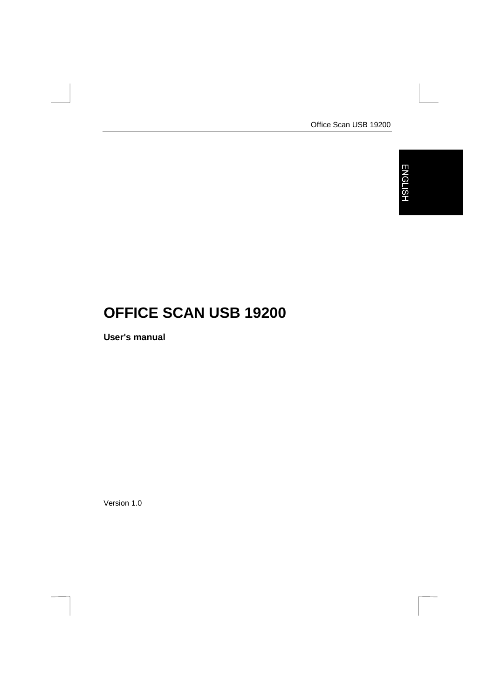# **OFFICE SCAN USB 19200**

**User's manual**

Version 1.0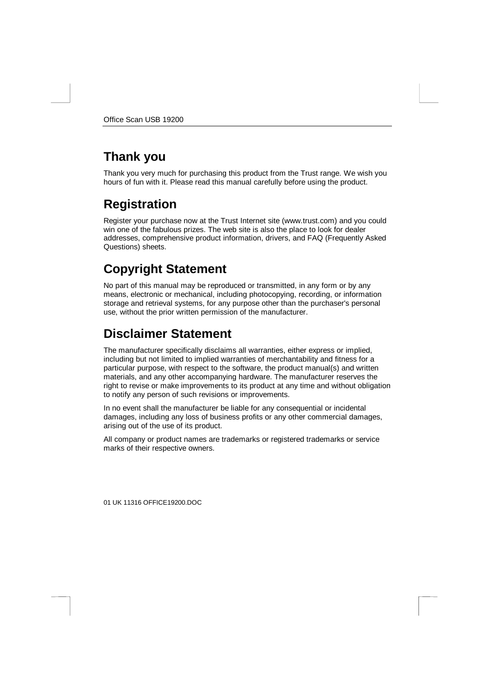# **Thank you**

Thank you very much for purchasing this product from the Trust range. We wish you hours of fun with it. Please read this manual carefully before using the product.

## **Registration**

Register your purchase now at the Trust Internet site (www.trust.com) and you could win one of the fabulous prizes. The web site is also the place to look for dealer addresses, comprehensive product information, drivers, and FAQ (Frequently Asked Questions) sheets.

# **Copyright Statement**

No part of this manual may be reproduced or transmitted, in any form or by any means, electronic or mechanical, including photocopying, recording, or information storage and retrieval systems, for any purpose other than the purchaser's personal use, without the prior written permission of the manufacturer.

# **Disclaimer Statement**

The manufacturer specifically disclaims all warranties, either express or implied, including but not limited to implied warranties of merchantability and fitness for a particular purpose, with respect to the software, the product manual(s) and written materials, and any other accompanying hardware. The manufacturer reserves the right to revise or make improvements to its product at any time and without obligation to notify any person of such revisions or improvements.

In no event shall the manufacturer be liable for any consequential or incidental damages, including any loss of business profits or any other commercial damages, arising out of the use of its product.

All company or product names are trademarks or registered trademarks or service marks of their respective owners.

01 UK 11316 OFFICE19200.DOC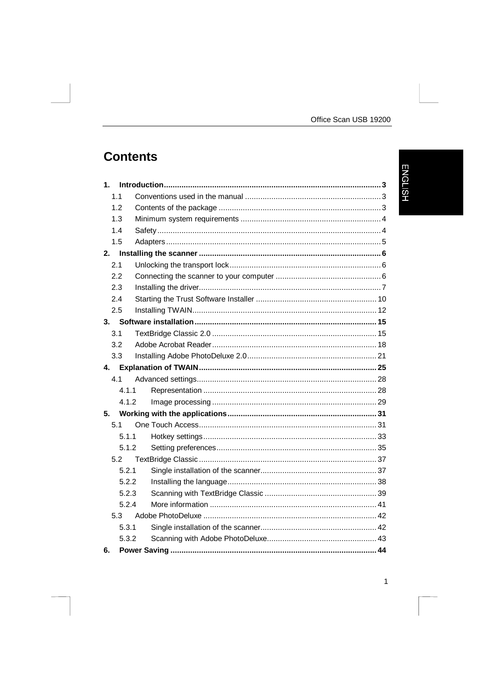**ENGLISH** 

# **Contents**

| 1.  |       |  |
|-----|-------|--|
| 1.1 |       |  |
| 1.2 |       |  |
| 1.3 |       |  |
| 1.4 |       |  |
| 1.5 |       |  |
| 2.  |       |  |
| 2.1 |       |  |
| 2.2 |       |  |
| 2.3 |       |  |
| 2.4 |       |  |
| 2.5 |       |  |
| 3.  |       |  |
| 3.1 |       |  |
| 3.2 |       |  |
| 3.3 |       |  |
| 4.  |       |  |
| 4.1 |       |  |
|     | 4.1.1 |  |
|     | 4.1.2 |  |
| 5.  |       |  |
| 5.1 |       |  |
|     | 5.1.1 |  |
|     | 5.1.2 |  |
| 5.2 |       |  |
|     | 5.2.1 |  |
|     | 5.2.2 |  |
|     | 5.2.3 |  |
|     | 5.2.4 |  |
|     | 5.3   |  |
|     | 5.3.1 |  |
|     | 5.3.2 |  |
| 6.  |       |  |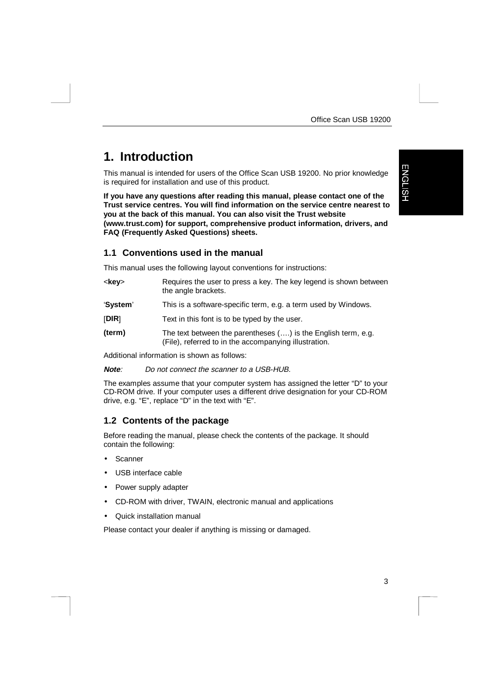# **1. Introduction**

This manual is intended for users of the Office Scan USB 19200. No prior knowledge is required for installation and use of this product.

**If you have any questions after reading this manual, please contact one of the Trust service centres. You will find information on the service centre nearest to you at the back of this manual. You can also visit the Trust website (www.trust.com) for support, comprehensive product information, drivers, and FAQ (Frequently Asked Questions) sheets.**

**ENGLISH** 

## **1.1 Conventions used in the manual**

This manual uses the following layout conventions for instructions:

| <key></key> | Requires the user to press a key. The key legend is shown between<br>the angle brackets.                               |
|-------------|------------------------------------------------------------------------------------------------------------------------|
| 'System'    | This is a software-specific term, e.g. a term used by Windows.                                                         |
| [DIR]       | Text in this font is to be typed by the user.                                                                          |
| (term)      | The text between the parentheses () is the English term, e.g.<br>(File), referred to in the accompanying illustration. |

Additional information is shown as follows:

**Note**: Do not connect the scanner to a USB-HUB.

The examples assume that your computer system has assigned the letter "D" to your CD-ROM drive. If your computer uses a different drive designation for your CD-ROM drive, e.g. "E", replace "D" in the text with "E".

## **1.2 Contents of the package**

Before reading the manual, please check the contents of the package. It should contain the following:

- **Scanner**
- USB interface cable
- Power supply adapter
- CD-ROM with driver, TWAIN, electronic manual and applications
- Quick installation manual

Please contact your dealer if anything is missing or damaged.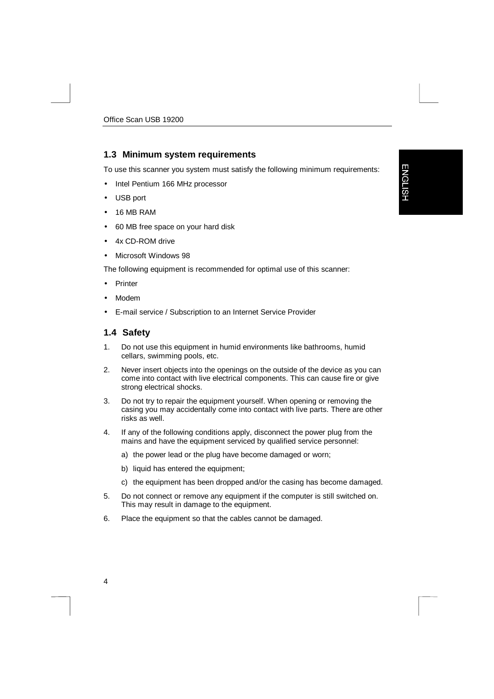## **1.3 Minimum system requirements**

To use this scanner you system must satisfy the following minimum requirements:

- Intel Pentium 166 MHz processor
- USB port
- 16 MB RAM
- 60 MB free space on your hard disk
- 4x CD-ROM drive
- Microsoft Windows 98

The following equipment is recommended for optimal use of this scanner:

- Printer
- Modem
- E-mail service / Subscription to an Internet Service Provider

## **1.4 Safety**

- 1. Do not use this equipment in humid environments like bathrooms, humid cellars, swimming pools, etc.
- 2. Never insert objects into the openings on the outside of the device as you can come into contact with live electrical components. This can cause fire or give strong electrical shocks.
- 3. Do not try to repair the equipment yourself. When opening or removing the casing you may accidentally come into contact with live parts. There are other risks as well.
- 4. If any of the following conditions apply, disconnect the power plug from the mains and have the equipment serviced by qualified service personnel:
	- a) the power lead or the plug have become damaged or worn;
	- b) liquid has entered the equipment;
	- c) the equipment has been dropped and/or the casing has become damaged.
- 5. Do not connect or remove any equipment if the computer is still switched on. This may result in damage to the equipment.
- 6. Place the equipment so that the cables cannot be damaged.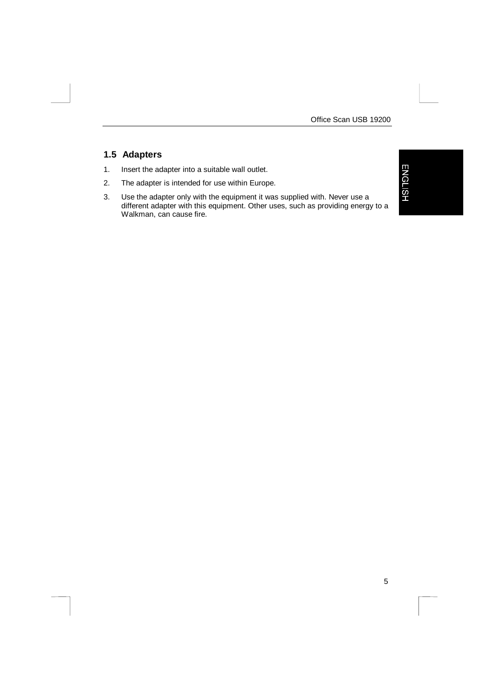## **1.5 Adapters**

- 1. Insert the adapter into a suitable wall outlet.
- 2. The adapter is intended for use within Europe.
- 3. Use the adapter only with the equipment it was supplied with. Never use a different adapter with this equipment. Other uses, such as providing energy to a Walkman, can cause fire.

**ENGLISH**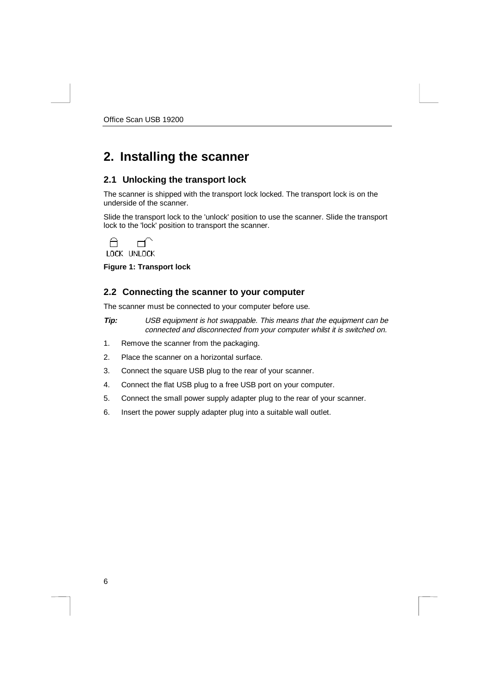## **2. Installing the scanner**

## **2.1 Unlocking the transport lock**

The scanner is shipped with the transport lock locked. The transport lock is on the underside of the scanner.

Slide the transport lock to the 'unlock' position to use the scanner. Slide the transport lock to the 'lock' position to transport the scanner.



**Figure 1: Transport lock**

## **2.2 Connecting the scanner to your computer**

The scanner must be connected to your computer before use.

- **Tip:** USB equipment is hot swappable. This means that the equipment can be connected and disconnected from your computer whilst it is switched on.
- 1. Remove the scanner from the packaging.
- 2. Place the scanner on a horizontal surface.
- 3. Connect the square USB plug to the rear of your scanner.
- 4. Connect the flat USB plug to a free USB port on your computer.
- 5. Connect the small power supply adapter plug to the rear of your scanner.
- 6. Insert the power supply adapter plug into a suitable wall outlet.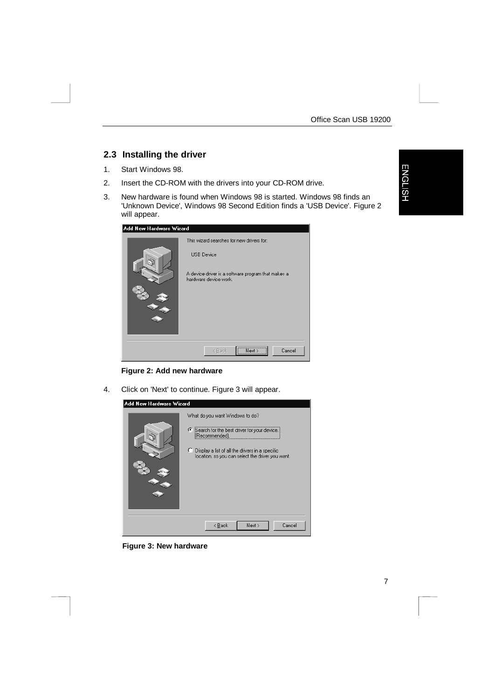## **2.3 Installing the driver**

- 1. Start Windows 98.
- 2. Insert the CD-ROM with the drivers into your CD-ROM drive.
- 3. New hardware is found when Windows 98 is started. Windows 98 finds an 'Unknown Device', Windows 98 Second Edition finds a 'USB Device'. Figure 2 will appear.

| Add New Hardware Wizard |                                                                                                                                               |
|-------------------------|-----------------------------------------------------------------------------------------------------------------------------------------------|
|                         | This wizard searches for new drivers for:<br><b>USB Device</b><br>A device driver is a software program that makes a<br>hardware device work. |
|                         | $N_{\text{ext}}$<br>Cancel<br>< Back                                                                                                          |

**Figure 2: Add new hardware**

4. Click on 'Next' to continue. Figure 3 will appear.



**Figure 3: New hardware**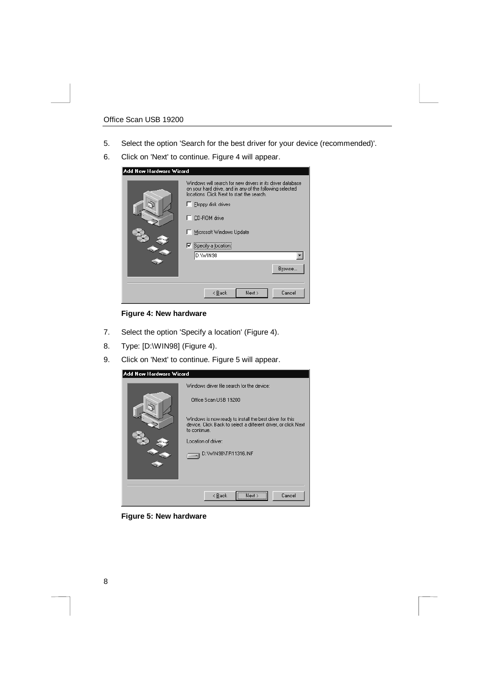- 5. Select the option 'Search for the best driver for your device (recommended)'.
- 6. Click on 'Next' to continue. Figure 4 will appear.



**Figure 4: New hardware**

- 7. Select the option 'Specify a location' (Figure 4).
- 8. Type: [D:\WIN98] (Figure 4).
- 9. Click on 'Next' to continue. Figure 5 will appear.



**Figure 5: New hardware**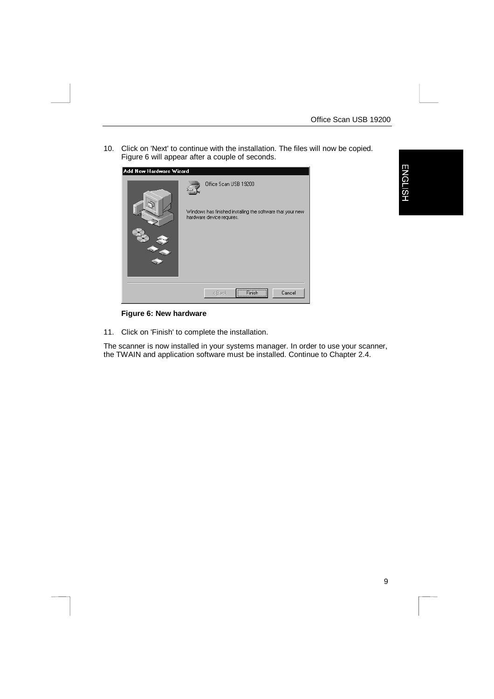10. Click on 'Next' to continue with the installation. The files will now be copied. Figure 6 will appear after a couple of seconds.



**Figure 6: New hardware**

11. Click on 'Finish' to complete the installation.

The scanner is now installed in your systems manager. In order to use your scanner, the TWAIN and application software must be installed. Continue to Chapter 2.4.

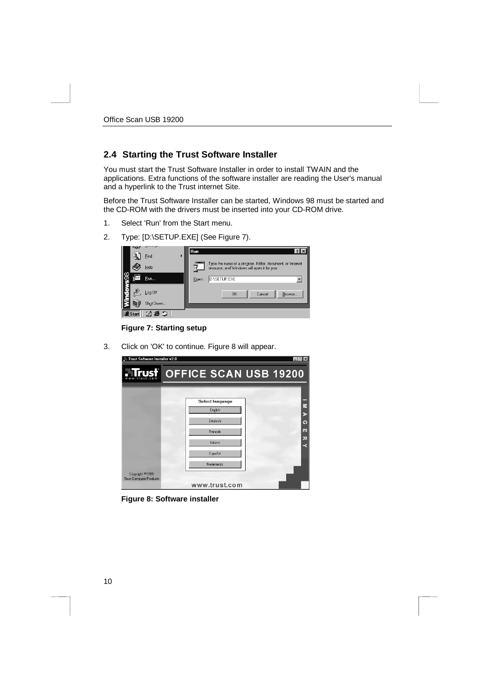## **2.4 Starting the Trust Software Installer**

You must start the Trust Software Installer in order to install TWAIN and the applications. Extra functions of the software installer are reading the User's manual and a hyperlink to the Trust internet Site.

Before the Trust Software Installer can be started, Windows 98 must be started and the CD-ROM with the drivers must be inserted into your CD-ROM drive.

- 1. Select 'Run' from the Start menu.
- 2. Type: [D:\SETUP.EXE] (See Figure 7).

|   | <b>PAN</b> |           |   | Run   |                                                                                                          |
|---|------------|-----------|---|-------|----------------------------------------------------------------------------------------------------------|
|   |            | Find      | Þ |       |                                                                                                          |
|   |            | Help      |   |       | Type the name of a program, folder, document, or Internet<br>resource, and Windows will open it for you. |
| α |            | Run       |   | Open: | D:\SETUP.EXE                                                                                             |
|   | Ł          | Log Off   |   |       | OK<br>Cancel<br>Browse                                                                                   |
|   | m          | Shut Down |   |       |                                                                                                          |
|   |            | ۴a        |   |       |                                                                                                          |

**Figure 7: Starting setup**

3. Click on 'OK' to continue. Figure 8 will appear.

| Trust Software Installer v2.0  |                             |             |
|--------------------------------|-----------------------------|-------------|
|                                | Trust OFFICE SCAN USB 19200 |             |
|                                | Select language             |             |
|                                | English<br>Deutsch          | Ξ<br>Ъ      |
|                                | Français                    | ໑<br>п<br>ᅎ |
|                                | Italiano<br>Español         |             |
| Copyright @1999                | Nederlands                  |             |
| <b>Trust Computer Products</b> | www.trust.com               |             |

**Figure 8: Software installer**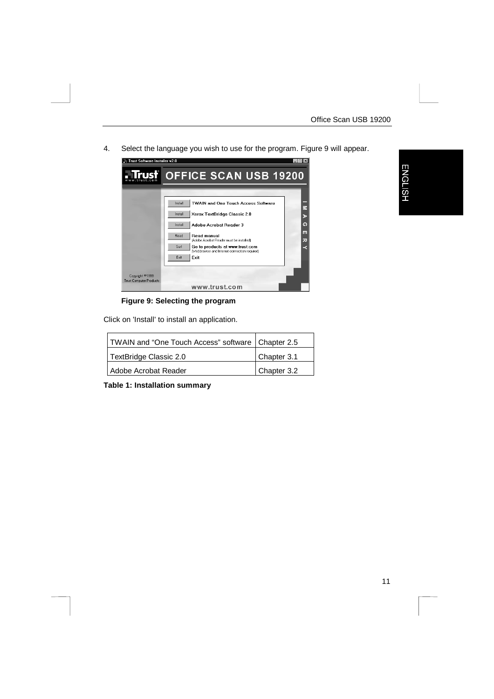- Trust Software Installer v2.0  $\blacksquare$  $\blacksquare$   $\times$ OFFICE SCAN USB 19200 **Trust** Install TWAIN and One Touch Access Software IMAGERY Install Xerox TextBridge Classic 2.0 Install Adobe Acrobat Reader 3 Read Read manual<br>Adobe Acrobat Reader must be installed) Surf Go to products at www.trust.com п  $Exit$   $Exit$ Copyright ©1999<br>Trust Computer Produc www.trust.com
- 4. Select the language you wish to use for the program. Figure 9 will appear.

**Figure 9: Selecting the program**

Click on 'Install' to install an application.

| TWAIN and "One Touch Access" software   Chapter 2.5 |             |
|-----------------------------------------------------|-------------|
| TextBridge Classic 2.0                              | Chapter 3.1 |
| Adobe Acrobat Reader                                | Chapter 3.2 |

**Table 1: Installation summary**

**ENGLISH**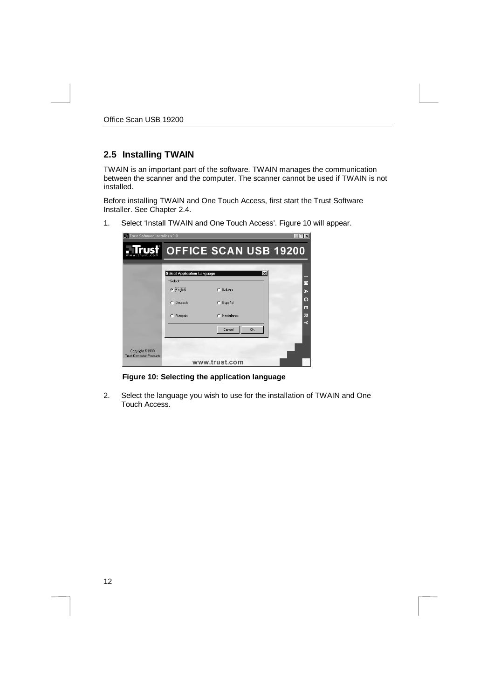## **2.5 Installing TWAIN**

TWAIN is an important part of the software. TWAIN manages the communication between the scanner and the computer. The scanner cannot be used if TWAIN is not installed.

Before installing TWAIN and One Touch Access, first start the Trust Software Installer. See Chapter 2.4.

1. Select 'Install TWAIN and One Touch Access'. Figure 10 will appear.

| Trust Software Installer v2.0  |                             |                                     |                 | $ \Box$ $\times$ |
|--------------------------------|-----------------------------|-------------------------------------|-----------------|------------------|
|                                |                             | Trust OFFICE SCAN USB 19200         |                 |                  |
|                                | Select Application Language |                                     | $\vert x \vert$ |                  |
|                                | -Select<br>C English        | C Italiano                          |                 | z<br>ъ           |
|                                | C Deutsch                   | C Español                           |                 | ດ<br>ш           |
|                                | C Français                  | C Nederlands<br><b>Ok</b><br>Cancel |                 | 고                |
|                                |                             |                                     |                 |                  |
| Copyright @1999                |                             |                                     |                 |                  |
| <b>Trust Computer Products</b> |                             | www.trust.com                       |                 |                  |

**Figure 10: Selecting the application language**

2. Select the language you wish to use for the installation of TWAIN and One Touch Access.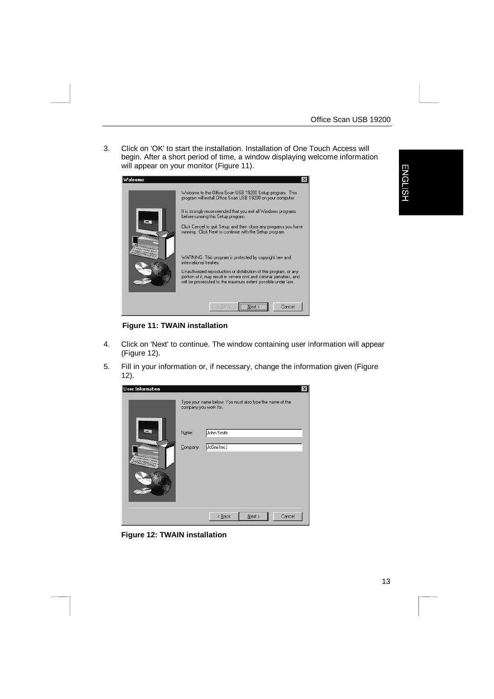3. Click on 'OK' to start the installation. Installation of One Touch Access will begin. After a short period of time, a window displaying welcome information will appear on your monitor (Figure 11).



**Figure 11: TWAIN installation**

- 4. Click on 'Next' to continue. The window containing user information will appear (Figure 12).
- 5. Fill in your information or, if necessary, change the information given (Figure 12).



**Figure 12: TWAIN installation**

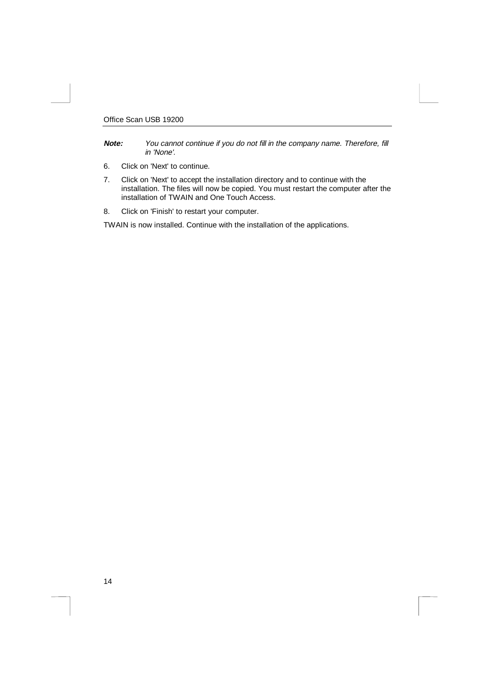- **Note:** You cannot continue if you do not fill in the company name. Therefore, fill in 'None'.
- 6. Click on 'Next' to continue.
- 7. Click on 'Next' to accept the installation directory and to continue with the installation. The files will now be copied. You must restart the computer after the installation of TWAIN and One Touch Access.
- 8. Click on 'Finish' to restart your computer.

TWAIN is now installed. Continue with the installation of the applications.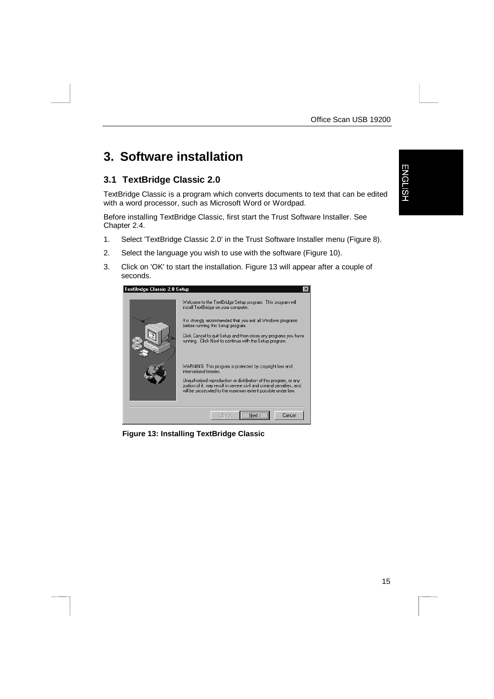# **3. Software installation**

## **3.1 TextBridge Classic 2.0**

TextBridge Classic is a program which converts documents to text that can be edited with a word processor, such as Microsoft Word or Wordpad.

Before installing TextBridge Classic, first start the Trust Software Installer. See Chapter 2.4.

- 1. Select 'TextBridge Classic 2.0' in the Trust Software Installer menu (Figure 8).
- 2. Select the language you wish to use with the software (Figure 10).
- 3. Click on 'OK' to start the installation. Figure 13 will appear after a couple of seconds.



**Figure 13: Installing TextBridge Classic**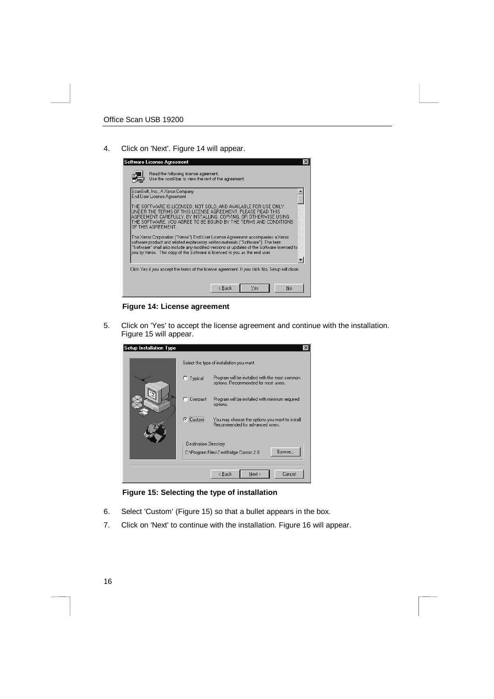4. Click on 'Next'. Figure 14 will appear.



**Figure 14: License agreement**

5. Click on 'Yes' to accept the license agreement and continue with the installation. Figure 15 will appear.

| <b>Setup Installation Type</b> |                       | $\times$                                                                               |
|--------------------------------|-----------------------|----------------------------------------------------------------------------------------|
|                                |                       | Select the type of installation you want.                                              |
|                                | Typical<br>n          | Program will be installed with the most common<br>options. Recommended for most users. |
|                                | Compact               | Program will be installed with minimum required<br>options.                            |
|                                | C Custom              | You may choose the options you want to install.<br>Recommended for advanced users.     |
|                                | Destination Directory |                                                                                        |
|                                |                       | Browse<br>C:\Program Files\TextBridge Classic 2.0                                      |
|                                |                       |                                                                                        |
|                                |                       | Cancel<br>< <u>B</u> ack<br>Next >                                                     |

**Figure 15: Selecting the type of installation**

- 6. Select 'Custom' (Figure 15) so that a bullet appears in the box.
- 7. Click on 'Next' to continue with the installation. Figure 16 will appear.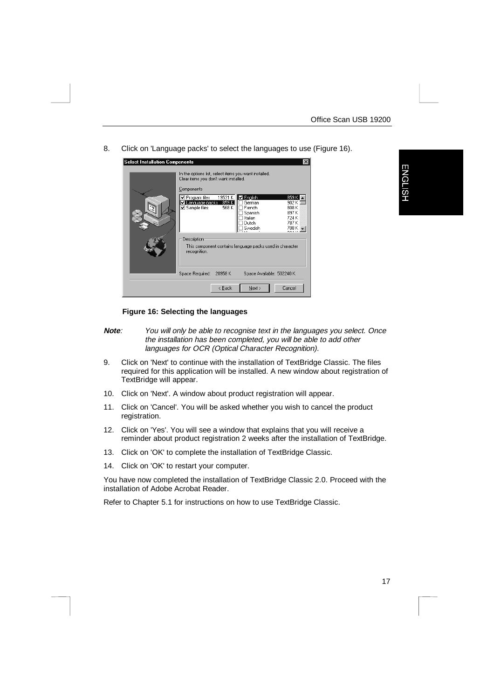**ENGLISH** 



8. Click on 'Language packs' to select the languages to use (Figure 16).

### **Figure 16: Selecting the languages**

- **Note**: You will only be able to recognise text in the languages you select. Once the installation has been completed, you will be able to add other languages for OCR (Optical Character Recognition).
- 9. Click on 'Next' to continue with the installation of TextBridge Classic. The files required for this application will be installed. A new window about registration of TextBridge will appear.
- 10. Click on 'Next'. A window about product registration will appear.
- 11. Click on 'Cancel'. You will be asked whether you wish to cancel the product registration.
- 12. Click on 'Yes'. You will see a window that explains that you will receive a reminder about product registration 2 weeks after the installation of TextBridge.
- 13. Click on 'OK' to complete the installation of TextBridge Classic.
- 14. Click on 'OK' to restart your computer.

You have now completed the installation of TextBridge Classic 2.0. Proceed with the installation of Adobe Acrobat Reader.

Refer to Chapter 5.1 for instructions on how to use TextBridge Classic.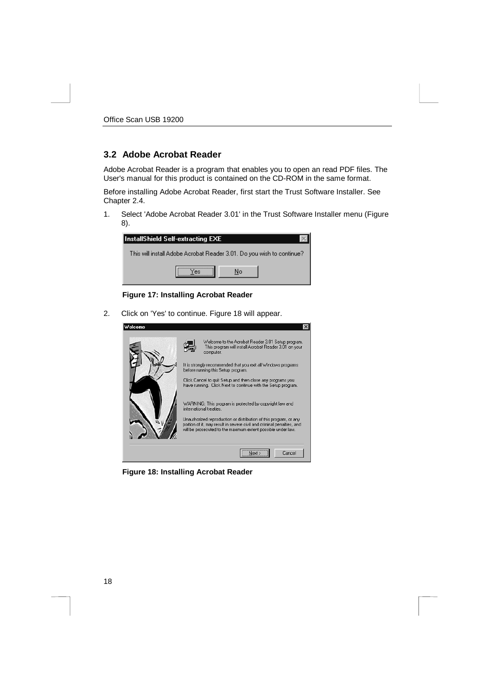## **3.2 Adobe Acrobat Reader**

Adobe Acrobat Reader is a program that enables you to open an read PDF files. The User's manual for this product is contained on the CD-ROM in the same format.

Before installing Adobe Acrobat Reader, first start the Trust Software Installer. See Chapter 2.4.

1. Select 'Adobe Acrobat Reader 3.01' in the Trust Software Installer menu (Figure 8).

| InstallShield Self-extracting EXE                                     |  |
|-----------------------------------------------------------------------|--|
| This will install Adobe Acrobat Reader 3.01. Do you wish to continue? |  |
|                                                                       |  |

**Figure 17: Installing Acrobat Reader**

2. Click on 'Yes' to continue. Figure 18 will appear.



**Figure 18: Installing Acrobat Reader**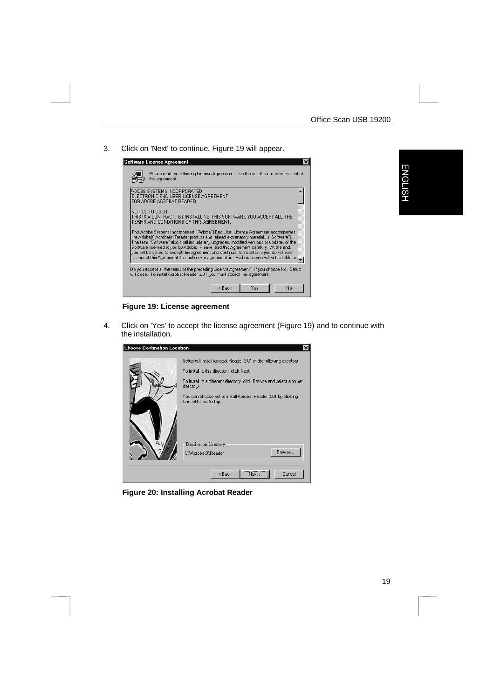3. Click on 'Next' to continue. Figure 19 will appear.



**Figure 19: License agreement**

4. Click on 'Yes' to accept the license agreement (Figure 19) and to continue with the installation.

| <b>Choose Destination Location</b><br>$\times$ |                                                                                                                                                                                                                                                                                                 |  |  |
|------------------------------------------------|-------------------------------------------------------------------------------------------------------------------------------------------------------------------------------------------------------------------------------------------------------------------------------------------------|--|--|
|                                                | Setup will install Acrobat Reader 3.01 in the following directory.<br>To install to this directory, click Next.<br>To install to a different directory, click Browse and select another<br>directory.<br>You can choose not to install Acrobat Reader 3.01 by clicking<br>Cancel to exit Setup. |  |  |
|                                                | Destination Directory<br>Browse.<br>C:\Acrobat3\Reader<br>Nest<br>< Back<br>Cancel                                                                                                                                                                                                              |  |  |
|                                                |                                                                                                                                                                                                                                                                                                 |  |  |

**Figure 20: Installing Acrobat Reader**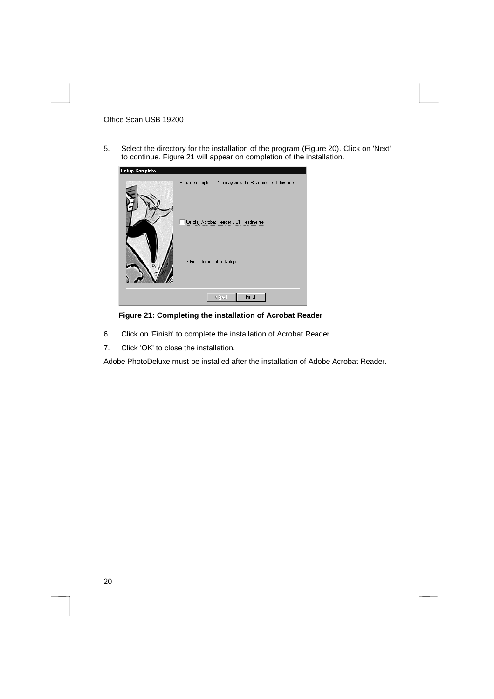5. Select the directory for the installation of the program (Figure 20). Click on 'Next' to continue. Figure 21 will appear on completion of the installation.



**Figure 21: Completing the installation of Acrobat Reader**

- 6. Click on 'Finish' to complete the installation of Acrobat Reader.
- 7. Click 'OK' to close the installation.

Adobe PhotoDeluxe must be installed after the installation of Adobe Acrobat Reader.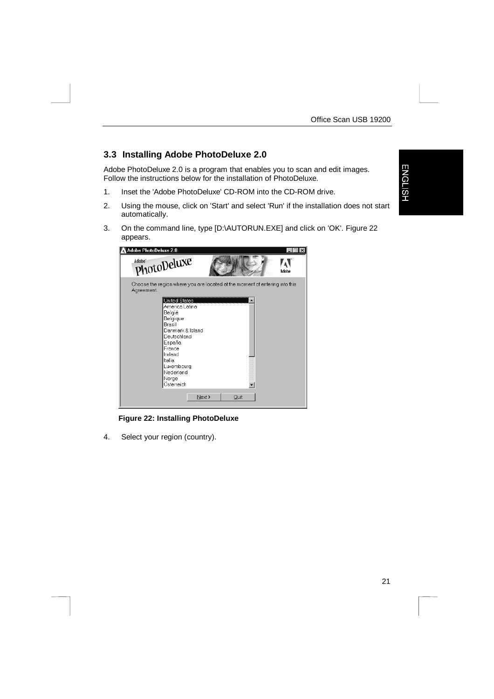## **3.3 Installing Adobe PhotoDeluxe 2.0**

Adobe PhotoDeluxe 2.0 is a program that enables you to scan and edit images. Follow the instructions below for the installation of PhotoDeluxe.

- 1. Inset the 'Adobe PhotoDeluxe' CD-ROM into the CD-ROM drive.
- 2. Using the mouse, click on 'Start' and select 'Run' if the installation does not start automatically.
- 3. On the command line, type [D:\AUTORUN.EXE] and click on 'OK'. Figure 22 appears.



**Figure 22: Installing PhotoDeluxe**

4. Select your region (country).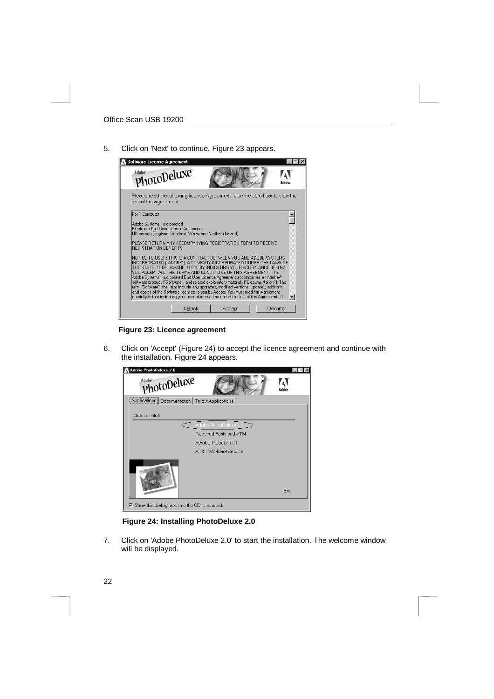5. Click on 'Next' to continue. Figure 23 appears.



**Figure 23: Licence agreement**

6. Click on 'Accept' (Figure 24) to accept the licence agreement and continue with the installation. Figure 24 appears.



**Figure 24: Installing PhotoDeluxe 2.0**

7. Click on 'Adobe PhotoDeluxe 2.0' to start the installation. The welcome window will be displayed.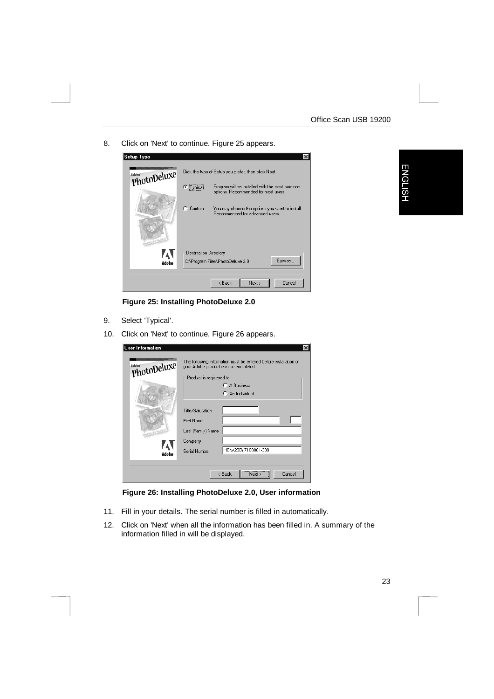8. Click on 'Next' to continue. Figure 25 appears.



**Figure 25: Installing PhotoDeluxe 2.0**

- 9. Select 'Typical'.
- 10. Click on 'Next' to continue. Figure 26 appears.

| User Information     | $\vert x \vert$                                                                                                                                                                                                                                                                               |
|----------------------|-----------------------------------------------------------------------------------------------------------------------------------------------------------------------------------------------------------------------------------------------------------------------------------------------|
| PhotoDeluxe<br>Adobe | The following information must be entered before installation of<br>your Adobe product can be completed.<br>Product is registered to<br>C A Business<br>$\cap$ An Individual<br>Title/Salutation<br><b>First Name</b><br>Last (Family) Name<br>Company<br>HGW200Y7100001-380<br>Serial Number |
|                      | Next<br>Cancel<br>< <u>B</u> ack                                                                                                                                                                                                                                                              |

**Figure 26: Installing PhotoDeluxe 2.0, User information**

- 11. Fill in your details. The serial number is filled in automatically.
- 12. Click on 'Next' when all the information has been filled in. A summary of the information filled in will be displayed.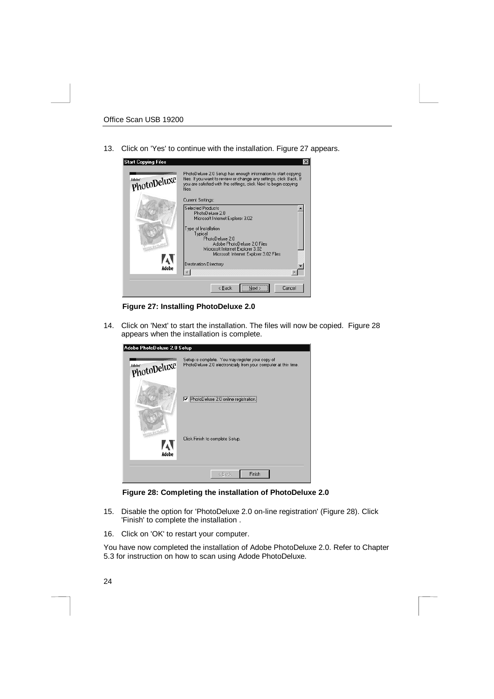13. Click on 'Yes' to continue with the installation. Figure 27 appears.



**Figure 27: Installing PhotoDeluxe 2.0**

14. Click on 'Next' to start the installation. The files will now be copied. Figure 28 appears when the installation is complete.

| Adobe PhotoDeluxe 2.0 Setup |                                                                                                                     |  |  |  |  |
|-----------------------------|---------------------------------------------------------------------------------------------------------------------|--|--|--|--|
| <b>PhotoDeluxe</b>          | Setup is complete. You may register your copy of<br>PhotoDeluxe 2.0 electronically from your computer at this time. |  |  |  |  |
|                             | PhotoDeluxe 2.0 online registration.<br>⊽                                                                           |  |  |  |  |
| Adobe                       | Click Finish to complete Setup.                                                                                     |  |  |  |  |
|                             | Finish<br>< Back                                                                                                    |  |  |  |  |

**Figure 28: Completing the installation of PhotoDeluxe 2.0**

- 15. Disable the option for 'PhotoDeluxe 2.0 on-line registration' (Figure 28). Click 'Finish' to complete the installation .
- 16. Click on 'OK' to restart your computer.

You have now completed the installation of Adobe PhotoDeluxe 2.0. Refer to Chapter 5.3 for instruction on how to scan using Adode PhotoDeluxe.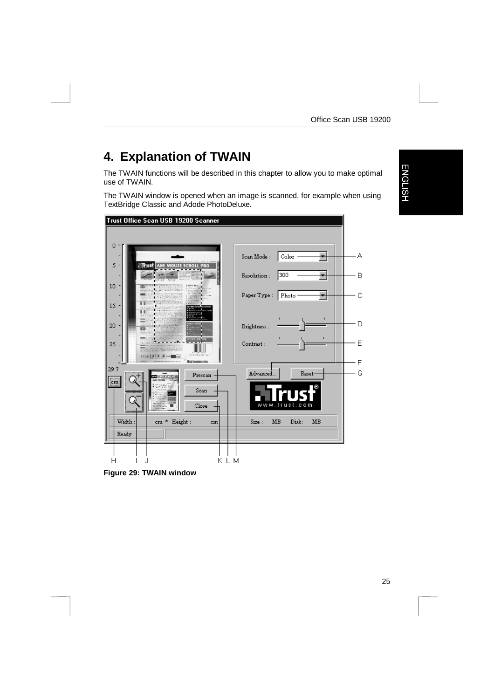# **4. Explanation of TWAIN**

The TWAIN functions will be described in this chapter to allow you to make optimal use of TWAIN.

The TWAIN window is opened when an image is scanned, for example when using TextBridge Classic and Adode PhotoDeluxe.



**Figure 29: TWAIN window**

# **ENGLISH**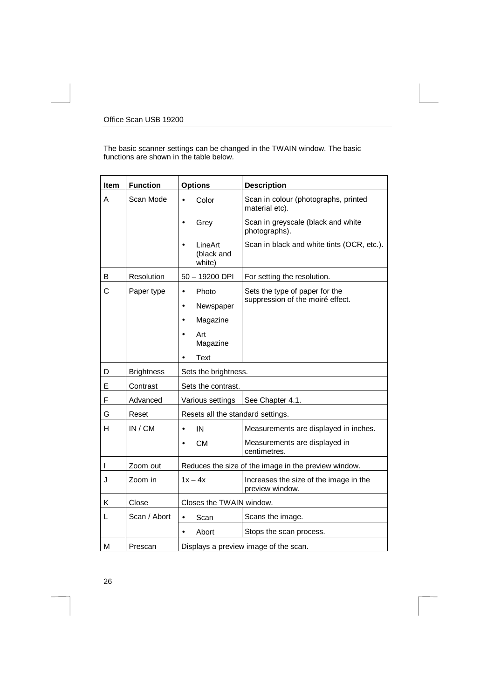The basic scanner settings can be changed in the TWAIN window. The basic functions are shown in the table below.

| <b>Item</b> | <b>Function</b>   | <b>Options</b>                                                                      | <b>Description</b>                                                 |  |  |  |  |  |
|-------------|-------------------|-------------------------------------------------------------------------------------|--------------------------------------------------------------------|--|--|--|--|--|
| A           | Scan Mode         | Color                                                                               | Scan in colour (photographs, printed<br>material etc).             |  |  |  |  |  |
|             |                   | Grey                                                                                | Scan in greyscale (black and white<br>photographs).                |  |  |  |  |  |
|             |                   | LineArt<br>(black and<br>white)                                                     | Scan in black and white tints (OCR, etc.).                         |  |  |  |  |  |
| в           | Resolution        | 50 - 19200 DPI                                                                      | For setting the resolution.                                        |  |  |  |  |  |
| C           | Paper type        | Photo<br>$\bullet$<br>Newspaper<br>Magazine<br>Art<br>Magazine<br>Text<br>$\bullet$ | Sets the type of paper for the<br>suppression of the moiré effect. |  |  |  |  |  |
| D           | <b>Brightness</b> | Sets the brightness.                                                                |                                                                    |  |  |  |  |  |
|             |                   |                                                                                     |                                                                    |  |  |  |  |  |
| E           | Contrast          | Sets the contrast.                                                                  |                                                                    |  |  |  |  |  |
| F           | Advanced          | Various settings                                                                    | See Chapter 4.1.                                                   |  |  |  |  |  |
| G           | Reset             | Resets all the standard settings.                                                   |                                                                    |  |  |  |  |  |
| н           | IN / CM           | IN<br>$\bullet$                                                                     | Measurements are displayed in inches.                              |  |  |  |  |  |
|             |                   | <b>CM</b>                                                                           | Measurements are displayed in<br>centimetres.                      |  |  |  |  |  |
| L           | Zoom out          |                                                                                     | Reduces the size of the image in the preview window.               |  |  |  |  |  |
| J           | Zoom in           | $1x - 4x$                                                                           | Increases the size of the image in the<br>preview window.          |  |  |  |  |  |
| K           | Close             | Closes the TWAIN window.                                                            |                                                                    |  |  |  |  |  |
| L           | Scan / Abort      | Scan<br>$\bullet$                                                                   | Scans the image.                                                   |  |  |  |  |  |
|             |                   | Abort                                                                               | Stops the scan process.                                            |  |  |  |  |  |
| M           | Prescan           |                                                                                     | Displays a preview image of the scan.                              |  |  |  |  |  |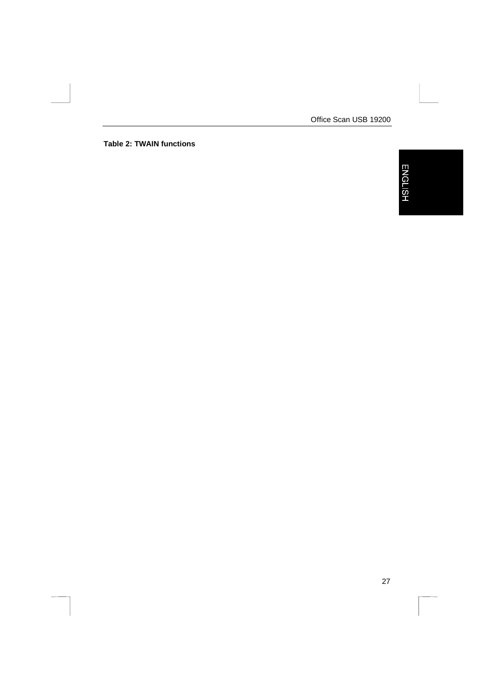**Table 2: TWAIN functions**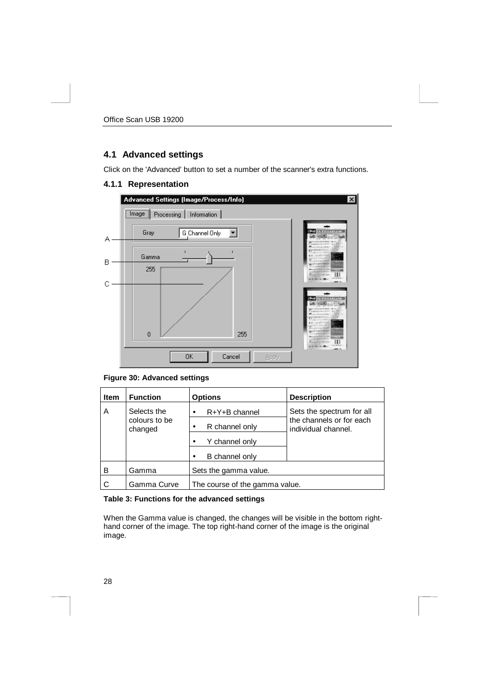## **4.1 Advanced settings**

Click on the 'Advanced' button to set a number of the scanner's extra functions.

## **4.1.1 Representation**



## **Figure 30: Advanced settings**

| <b>Item</b> | <b>Function</b>          | <b>Options</b>                 | <b>Description</b>                              |  |  |  |
|-------------|--------------------------|--------------------------------|-------------------------------------------------|--|--|--|
| A           | Selects the              | $R+Y+B$ channel                | Sets the spectrum for all                       |  |  |  |
|             | colours to be<br>changed | R channel only                 | the channels or for each<br>individual channel. |  |  |  |
|             |                          | Y channel only                 |                                                 |  |  |  |
|             |                          | B channel only                 |                                                 |  |  |  |
| в           | Gamma                    | Sets the gamma value.          |                                                 |  |  |  |
| C           | Gamma Curve              | The course of the gamma value. |                                                 |  |  |  |

## **Table 3: Functions for the advanced settings**

When the Gamma value is changed, the changes will be visible in the bottom righthand corner of the image. The top right-hand corner of the image is the original image.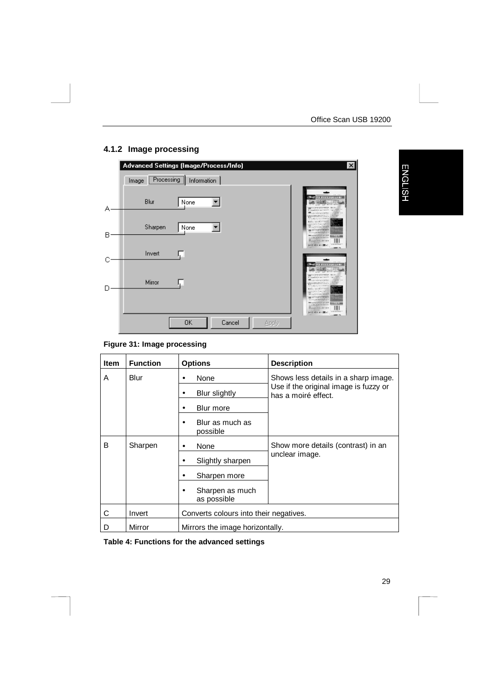## **4.1.2 Image processing**



## **Figure 31: Image processing**

| <b>Item</b> | <b>Function</b> | <b>Options</b>                         | <b>Description</b>                                           |  |  |  |
|-------------|-----------------|----------------------------------------|--------------------------------------------------------------|--|--|--|
| A           | Blur            | None                                   | Shows less details in a sharp image.                         |  |  |  |
|             |                 | Blur slightly                          | Use if the original image is fuzzy or<br>has a moiré effect. |  |  |  |
|             |                 | Blur more                              |                                                              |  |  |  |
|             |                 | Blur as much as<br>possible            |                                                              |  |  |  |
| B           | Sharpen         | None                                   | Show more details (contrast) in an                           |  |  |  |
|             |                 | Slightly sharpen                       | unclear image.                                               |  |  |  |
|             |                 | Sharpen more                           |                                                              |  |  |  |
|             |                 | Sharpen as much<br>as possible         |                                                              |  |  |  |
| C           | Invert          | Converts colours into their negatives. |                                                              |  |  |  |
| D           | Mirror          | Mirrors the image horizontally.        |                                                              |  |  |  |

## **Table 4: Functions for the advanced settings**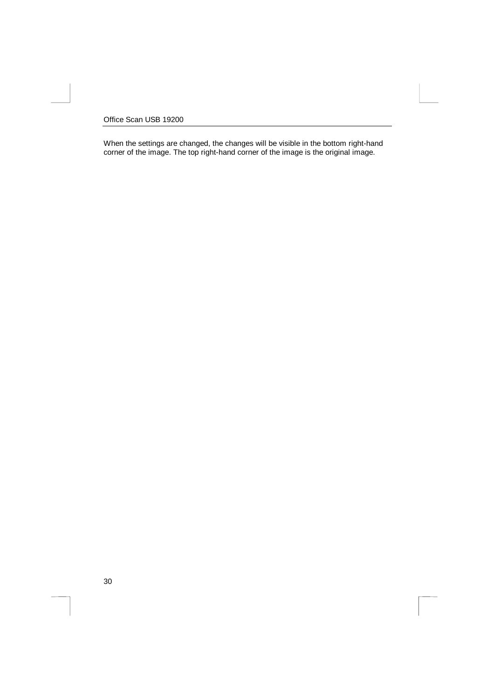When the settings are changed, the changes will be visible in the bottom right-hand corner of the image. The top right-hand corner of the image is the original image.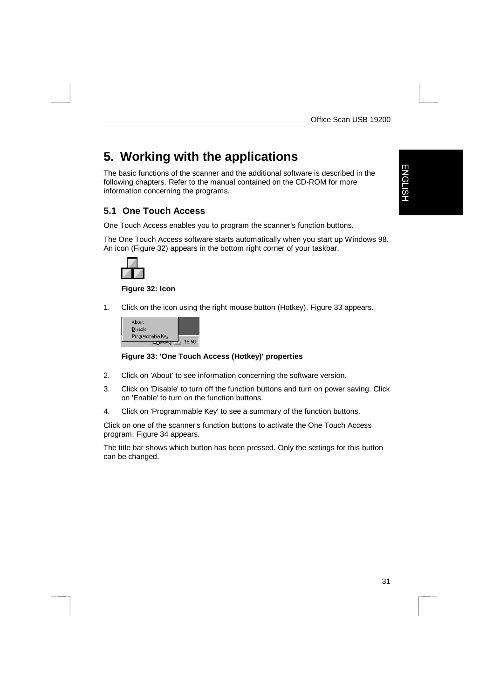# **5. Working with the applications**

The basic functions of the scanner and the additional software is described in the following chapters. Refer to the manual contained on the CD-ROM for more information concerning the programs.

## **5.1 One Touch Access**

One Touch Access enables you to program the scanner's function buttons.

The One Touch Access software starts automatically when you start up Windows 98. An icon (Figure 32) appears in the bottom right corner of your taskbar.



## **Figure 32: Icon**

1. Click on the icon using the right mouse button (Hotkey). Figure 33 appears.



#### **Figure 33: 'One Touch Access (Hotkey)' properties**

- 2. Click on 'About' to see information concerning the software version.
- 3. Click on 'Disable' to turn off the function buttons and turn on power saving. Click on 'Enable' to turn on the function buttons.
- 4. Click on 'Programmable Key' to see a summary of the function buttons.

Click on one of the scanner's function buttons to activate the One Touch Access program. Figure 34 appears.

The title bar shows which button has been pressed. Only the settings for this button can be changed.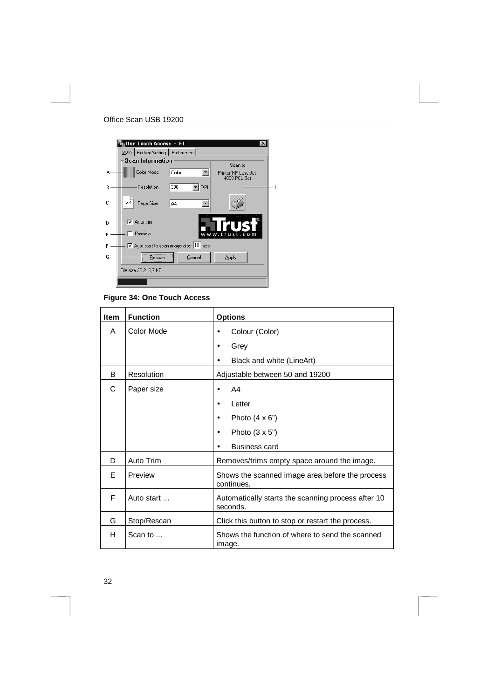|   | <b>One Touch Access - F1</b>                                                 |   |
|---|------------------------------------------------------------------------------|---|
|   | Main   Hotkey Setting   Preference                                           |   |
|   | <b>Scan Information</b><br>Scan to                                           |   |
| A | Color Mode<br>Color<br>Printer(HP LaserJet<br>4000 PCL 5e)                   |   |
| B | 300<br>DPI<br><b>Resolution</b>                                              | н |
|   | A4<br>Page Size<br>IA4                                                       |   |
| Đ | $\nabla$ Auto trim                                                           |   |
| F | Preview<br>www.trust.com                                                     |   |
|   | $\boxed{\blacktriangledown}$ Auto start to scan image after $\boxed{10}$ sec |   |
| G | <br>Cancel<br>Apply<br>Rescan                                                |   |
|   | File size 26.219,7 KB                                                        |   |
|   |                                                                              |   |

## **Figure 34: One Touch Access**

| <b>Item</b> | <b>Function</b> | <b>Options</b>                                                 |
|-------------|-----------------|----------------------------------------------------------------|
| A           | Color Mode      | Colour (Color)                                                 |
|             |                 | Grey<br>$\bullet$                                              |
|             |                 | Black and white (LineArt)<br>٠                                 |
| B           | Resolution      | Adjustable between 50 and 19200                                |
| C           | Paper size      | A4                                                             |
|             |                 | Letter                                                         |
|             |                 | Photo $(4 \times 6")$<br>$\bullet$                             |
|             |                 | Photo $(3 \times 5")$<br>$\bullet$                             |
|             |                 | <b>Business card</b>                                           |
| D           | Auto Trim       | Removes/trims empty space around the image.                    |
| E           | Preview         | Shows the scanned image area before the process<br>continues.  |
| F           | Auto start      | Automatically starts the scanning process after 10<br>seconds. |
| G           | Stop/Rescan     | Click this button to stop or restart the process.              |
| н           | Scan to         | Shows the function of where to send the scanned<br>image.      |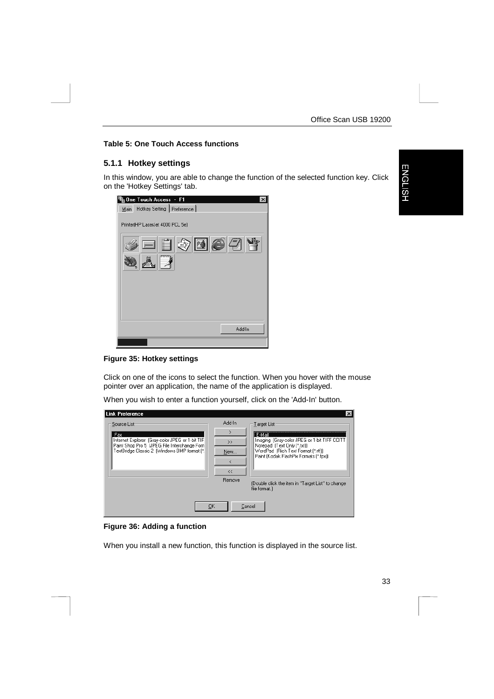## **Table 5: One Touch Access functions**

## **5.1.1 Hotkey settings**

In this window, you are able to change the function of the selected function key. Click on the 'Hotkey Settings' tab.



# **ENGLISH**

## **Figure 35: Hotkey settings**

Click on one of the icons to select the function. When you hover with the mouse pointer over an application, the name of the application is displayed.

When you wish to enter a function yourself, click on the 'Add-In' button.

| <b>Link Preference</b>                                                                                                                                                  |                                                | $\times$                                                                                                                                                                                                                                                      |
|-------------------------------------------------------------------------------------------------------------------------------------------------------------------------|------------------------------------------------|---------------------------------------------------------------------------------------------------------------------------------------------------------------------------------------------------------------------------------------------------------------|
| Source List<br>Fax<br>Internet Explorer (Gray-color JPEG or 1-bit TIF)<br>Paint Shop Pro 5 (JPEG File Interchange Form<br>TextBridge Classic 2 (Windows BMP format [*.] | Add-In<br>$\rightarrow$<br>New<br><<<br>Remove | Target List<br>  E-Mail<br>Imaging (Gray-color JPEG or 1-bit TIFF CCITT<br>Notepad (Text Only [*.txt])<br>WordPad (Rich Text Format [*.rtf]]<br>Paint (Kodak FlashPix Formats (*.fpx)).<br>(Double click the item in "Target List" to change<br>file format.) |
|                                                                                                                                                                         | OΚ<br>Cancel                                   |                                                                                                                                                                                                                                                               |



When you install a new function, this function is displayed in the source list.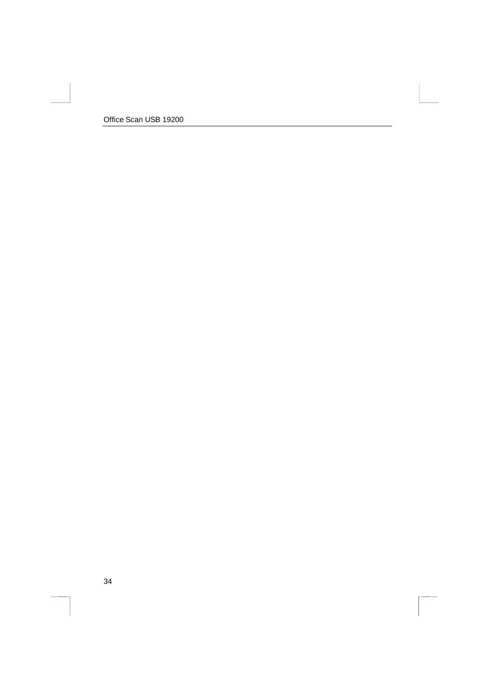34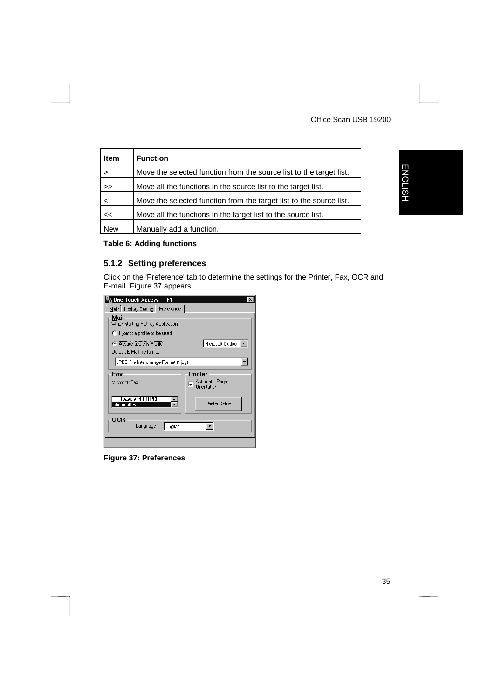| <b>Item</b> | <b>Function</b>                                                     |
|-------------|---------------------------------------------------------------------|
| $\geq$      | Move the selected function from the source list to the target list. |
| >           | Move all the functions in the source list to the target list.       |
| $\prec$     | Move the selected function from the target list to the source list. |
| <<          | Move all the functions in the target list to the source list.       |
| <b>New</b>  | Manually add a function.                                            |

**ENGLISH** 

## **Table 6: Adding functions**

## **5.1.2 Setting preferences**

Click on the 'Preference' tab to determine the settings for the Printer, Fax, OCR and E-mail. Figure 37 appears.

| <b>One Touch Access - F1</b>                                               |                                          |  |  |  |  |  |
|----------------------------------------------------------------------------|------------------------------------------|--|--|--|--|--|
| Main Hotkey Setting Preference                                             |                                          |  |  |  |  |  |
| Mail<br>When starting Hotkey Application<br>C Prompt a profile to be used  |                                          |  |  |  |  |  |
| Microsoft Outlook<br>Always use this Profile<br>Default E-Mail file format |                                          |  |  |  |  |  |
| JPEG File Interchange Format [*.jpg]                                       |                                          |  |  |  |  |  |
| Fax<br>Microsoft Fax                                                       | Printer<br>Automatic Page<br>Orientation |  |  |  |  |  |
| HP LaserJet 4000 PCL 6<br>Microsoft Fax                                    | Printer Setup                            |  |  |  |  |  |
| 0CR<br>English<br>Language :                                               |                                          |  |  |  |  |  |
|                                                                            |                                          |  |  |  |  |  |

**Figure 37: Preferences**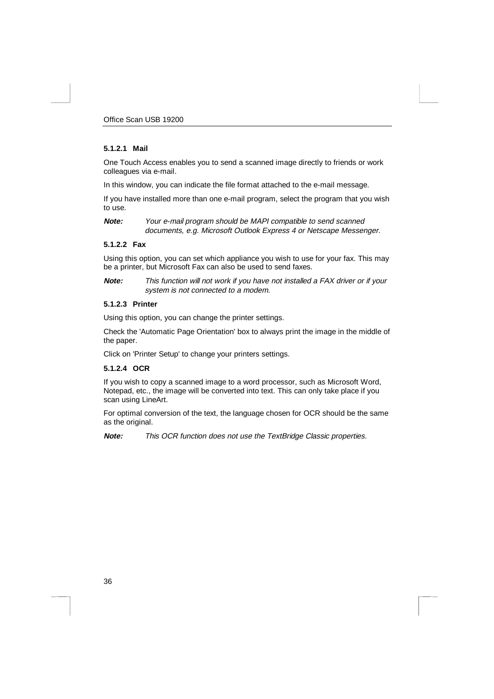#### **5.1.2.1 Mail**

One Touch Access enables you to send a scanned image directly to friends or work colleagues via e-mail.

In this window, you can indicate the file format attached to the e-mail message.

If you have installed more than one e-mail program, select the program that you wish to use.

**Note:** Your e-mail program should be MAPI compatible to send scanned documents, e.g. Microsoft Outlook Express 4 or Netscape Messenger.

#### **5.1.2.2 Fax**

Using this option, you can set which appliance you wish to use for your fax. This may be a printer, but Microsoft Fax can also be used to send faxes.

**Note:** This function will not work if you have not installed a FAX driver or if your system is not connected to a modem.

## **5.1.2.3 Printer**

Using this option, you can change the printer settings.

Check the 'Automatic Page Orientation' box to always print the image in the middle of the paper.

Click on 'Printer Setup' to change your printers settings.

### **5.1.2.4 OCR**

If you wish to copy a scanned image to a word processor, such as Microsoft Word, Notepad, etc., the image will be converted into text. This can only take place if you scan using LineArt.

For optimal conversion of the text, the language chosen for OCR should be the same as the original.

**Note:** This OCR function does not use the TextBridge Classic properties.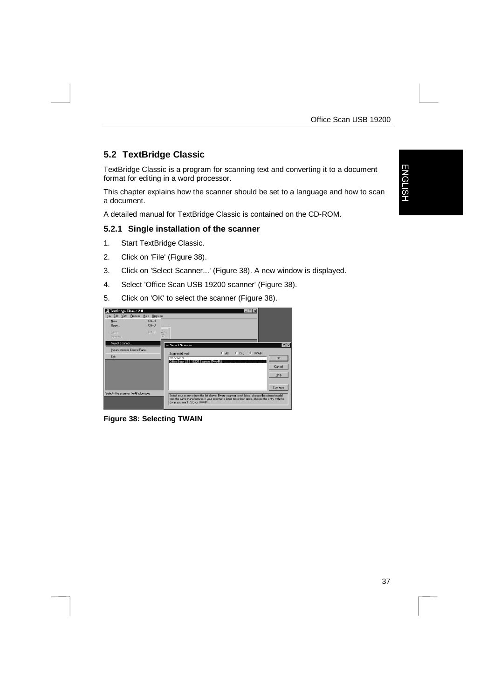## **5.2 TextBridge Classic**

TextBridge Classic is a program for scanning text and converting it to a document format for editing in a word processor.

This chapter explains how the scanner should be set to a language and how to scan a document.

A detailed manual for TextBridge Classic is contained on the CD-ROM.

## **5.2.1 Single installation of the scanner**

- 1. Start TextBridge Classic.
- 2. Click on 'File' (Figure 38).
- 3. Click on 'Select Scanner...' (Figure 38). A new window is displayed.
- 4. Select 'Office Scan USB 19200 scanner' (Figure 38).
- 5. Click on 'OK' to select the scanner (Figure 38).

|                 |                | 盘 TextBridge Classic 2.0            |              |                                                                                                                                                                                                                                         |      |          | $ \Box$ $\times$ |              |
|-----------------|----------------|-------------------------------------|--------------|-----------------------------------------------------------------------------------------------------------------------------------------------------------------------------------------------------------------------------------------|------|----------|------------------|--------------|
|                 |                | File Edit View Process Help Upgrade |              |                                                                                                                                                                                                                                         |      |          |                  |              |
| New             |                |                                     | Ctrl+N       |                                                                                                                                                                                                                                         |      |          |                  |              |
| Open            |                |                                     | $C$ tri+ $D$ |                                                                                                                                                                                                                                         |      |          |                  |              |
| Save<br>Save As |                |                                     | Ctrl+S       |                                                                                                                                                                                                                                         |      |          |                  |              |
|                 | Select Scanner |                                     |              | $=$ Select Scanner                                                                                                                                                                                                                      |      |          |                  | $?$ $\times$ |
|                 |                | Instant Access Control Panel        |              | Scanner (driver):                                                                                                                                                                                                                       | C AL | $C$ ISIS | <b>C</b> TWAIN   |              |
| Exit            |                |                                     |              | No scanner<br>Office Scan USB 19200 Scanner (TWAIN)                                                                                                                                                                                     |      |          |                  | <b>OK</b>    |
|                 |                |                                     |              |                                                                                                                                                                                                                                         |      |          |                  | Cancel       |
|                 |                |                                     |              |                                                                                                                                                                                                                                         |      |          |                  | Help         |
|                 |                |                                     |              |                                                                                                                                                                                                                                         |      |          |                  | Configure    |
|                 |                | Selects the scanner TextBridge uses |              | Select your scanner from the list above. If your scanner is not listed, choose the closest model<br>from the same manufacturer. If your scanner is listed more than once, choose the entry with the<br>driver you want (ISIS or TWAIN). |      |          |                  |              |

**Figure 38: Selecting TWAIN**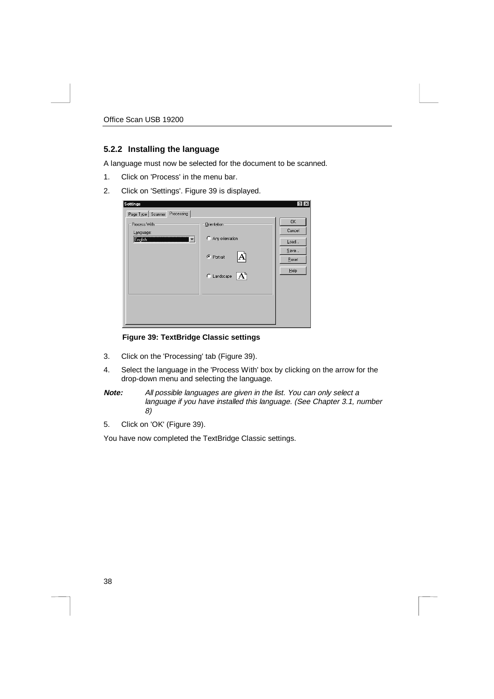## **5.2.2 Installing the language**

A language must now be selected for the document to be scanned.

- 1. Click on 'Process' in the menu bar.
- 2. Click on 'Settings'. Figure 39 is displayed.

| <b>Settings</b>                      |                                                         | $ ?  \times$          |
|--------------------------------------|---------------------------------------------------------|-----------------------|
| Page Type Scanner Processing         |                                                         |                       |
| Process With<br>Language:<br>English | <b>Orientation</b><br>C Any orientation                 | OK.<br>Cancel<br>Load |
|                                      | C Portrait                                              | $S$ ave<br>Reset      |
|                                      | $\vert A^{\scriptscriptstyle\mathtt{D}}$<br>C Landscape | Help                  |
|                                      |                                                         |                       |
|                                      |                                                         |                       |

**Figure 39: TextBridge Classic settings**

- 3. Click on the 'Processing' tab (Figure 39).
- 4. Select the language in the 'Process With' box by clicking on the arrow for the drop-down menu and selecting the language.
- **Note:** All possible languages are given in the list. You can only select a language if you have installed this language. (See Chapter 3.1, number 8)
- 5. Click on 'OK' (Figure 39).

You have now completed the TextBridge Classic settings.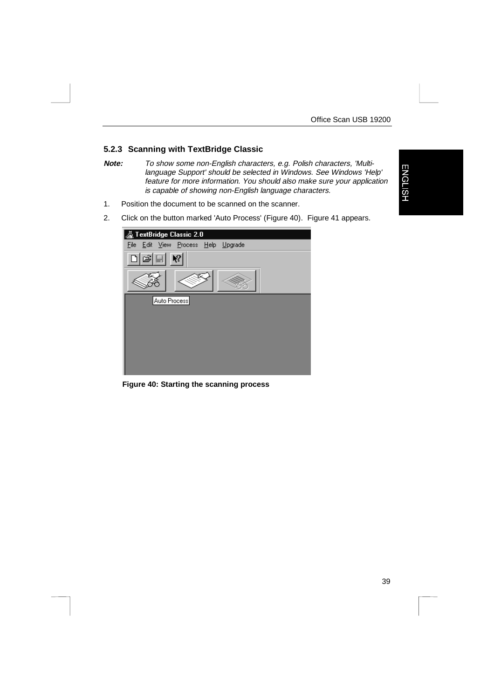**ENGLISH** 

## **5.2.3 Scanning with TextBridge Classic**

- **Note:** To show some non-English characters, e.g. Polish characters, 'Multilanguage Support' should be selected in Windows. See Windows 'Help' feature for more information. You should also make sure your application is capable of showing non-English language characters.
- 1. Position the document to be scanned on the scanner.
- 2. Click on the button marked 'Auto Process' (Figure 40). Figure 41 appears.

| 飍 TextBridge Classic 2.0            |
|-------------------------------------|
| File Edit View Process Help Upgrade |
| oleini<br>$\mathbf{k}$              |
|                                     |
| Auto Process                        |
|                                     |
|                                     |
|                                     |
|                                     |
|                                     |
|                                     |

**Figure 40: Starting the scanning process**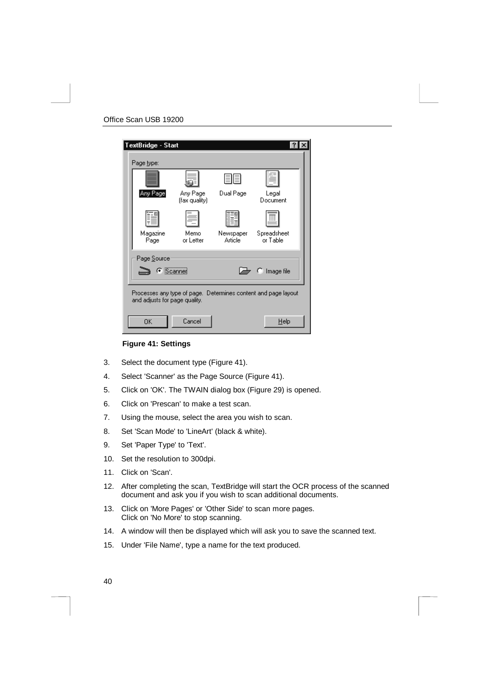| TextBridge - Start               |                           |                             | ?                                                              |
|----------------------------------|---------------------------|-----------------------------|----------------------------------------------------------------|
| Page type:                       |                           |                             |                                                                |
|                                  |                           |                             |                                                                |
| Any Page                         | Any Page<br>(fax quality) | Dual Page                   | Legal<br>Document                                              |
|                                  |                           |                             |                                                                |
| Magazine<br>Page                 | Memo<br>or Letter         | Newspaper<br><b>Article</b> | Spreadsheet<br>or Table                                        |
| Page Source<br>$\bullet$ Scanner |                           |                             | $\rightarrow$ C Image file                                     |
| and adjusts for page quality.    |                           |                             | Processes any type of page. Determines content and page layout |
| 0K                               | Cancel                    |                             | Help                                                           |

## **Figure 41: Settings**

- 3. Select the document type (Figure 41).
- 4. Select 'Scanner' as the Page Source (Figure 41).
- 5. Click on 'OK'. The TWAIN dialog box (Figure 29) is opened.
- 6. Click on 'Prescan' to make a test scan.
- 7. Using the mouse, select the area you wish to scan.
- 8. Set 'Scan Mode' to 'LineArt' (black & white).
- 9. Set 'Paper Type' to 'Text'.
- 10. Set the resolution to 300dpi.
- 11. Click on 'Scan'.
- 12. After completing the scan, TextBridge will start the OCR process of the scanned document and ask you if you wish to scan additional documents.
- 13. Click on 'More Pages' or 'Other Side' to scan more pages. Click on 'No More' to stop scanning.
- 14. A window will then be displayed which will ask you to save the scanned text.
- 15. Under 'File Name', type a name for the text produced.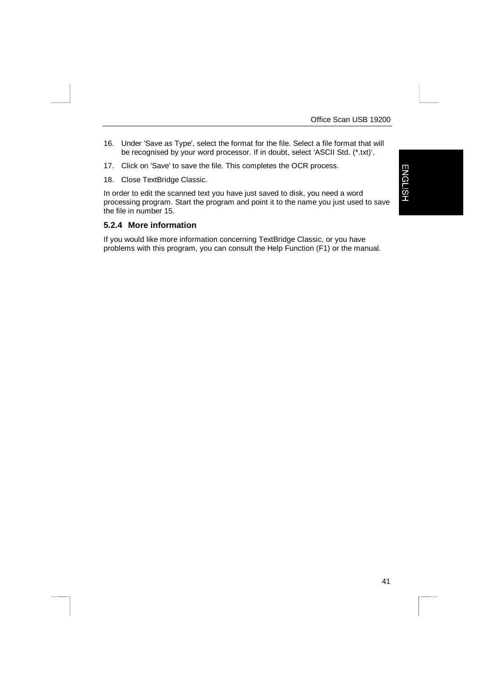- 16. Under 'Save as Type', select the format for the file. Select a file format that will be recognised by your word processor. If in doubt, select 'ASCII Std. (\*.txt)'.
- 17. Click on 'Save' to save the file. This completes the OCR process.
- 18. Close TextBridge Classic.

In order to edit the scanned text you have just saved to disk, you need a word processing program. Start the program and point it to the name you just used to save the file in number 15.

## **5.2.4 More information**

If you would like more information concerning TextBridge Classic, or you have problems with this program, you can consult the Help Function (F1) or the manual. **ENGLISH**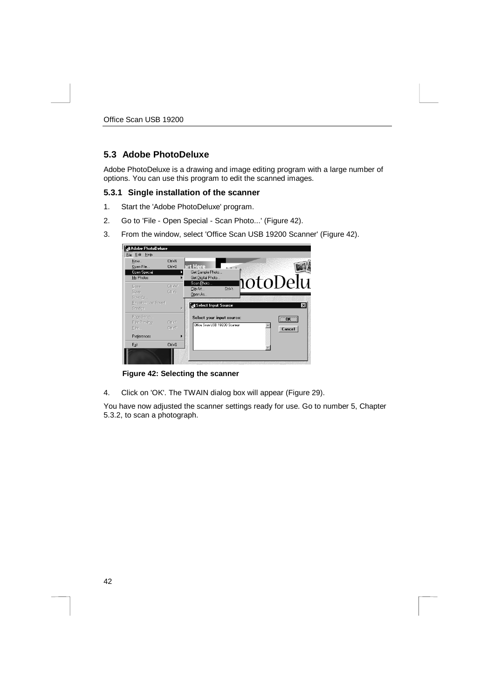## **5.3 Adobe PhotoDeluxe**

Adobe PhotoDeluxe is a drawing and image editing program with a large number of options. You can use this program to edit the scanned images.

#### **5.3.1 Single installation of the scanner**

- 1. Start the 'Adobe PhotoDeluxe' program.
- 2. Go to 'File Open Special Scan Photo...' (Figure 42).
- 3. From the window, select 'Office Scan USB 19200 Scanner' (Figure 42).



**Figure 42: Selecting the scanner**

4. Click on 'OK'. The TWAIN dialog box will appear (Figure 29).

You have now adjusted the scanner settings ready for use. Go to number 5, Chapter 5.3.2, to scan a photograph.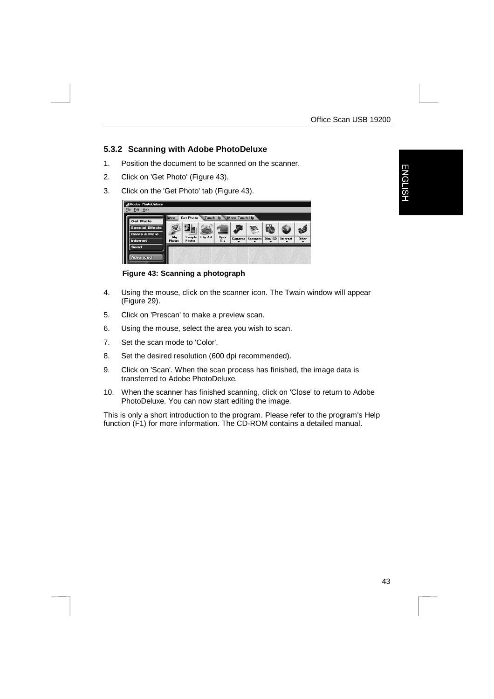## **5.3.2 Scanning with Adobe PhotoDeluxe**

- 1. Position the document to be scanned on the scanner.
- 2. Click on 'Get Photo' (Figure 43).
- 3. Click on the 'Get Photo' tab (Figure 43).



**Figure 43: Scanning a photograph**

- 4. Using the mouse, click on the scanner icon. The Twain window will appear (Figure 29).
- 5. Click on 'Prescan' to make a preview scan.
- 6. Using the mouse, select the area you wish to scan.
- 7. Set the scan mode to 'Color'.
- 8. Set the desired resolution (600 dpi recommended).
- 9. Click on 'Scan'. When the scan process has finished, the image data is transferred to Adobe PhotoDeluxe.
- 10. When the scanner has finished scanning, click on 'Close' to return to Adobe PhotoDeluxe. You can now start editing the image.

This is only a short introduction to the program. Please refer to the program's Help function (F1) for more information. The CD-ROM contains a detailed manual.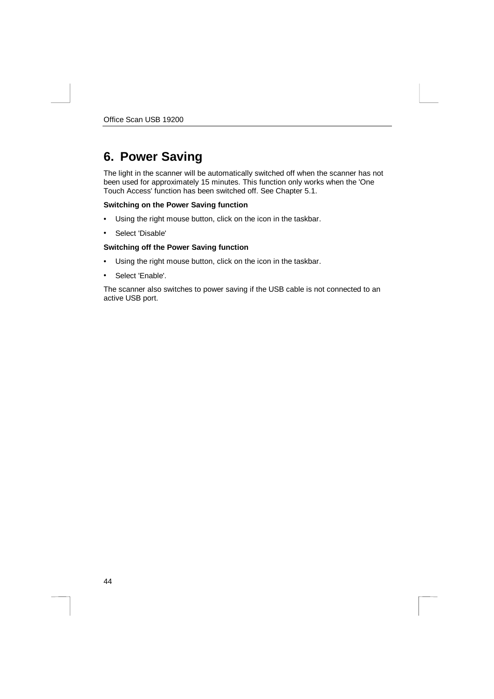# **6. Power Saving**

The light in the scanner will be automatically switched off when the scanner has not been used for approximately 15 minutes. This function only works when the 'One Touch Access' function has been switched off. See Chapter 5.1.

### **Switching on the Power Saving function**

- Using the right mouse button, click on the icon in the taskbar.
- Select 'Disable'

## **Switching off the Power Saving function**

- Using the right mouse button, click on the icon in the taskbar.
- Select 'Enable'.

The scanner also switches to power saving if the USB cable is not connected to an active USB port.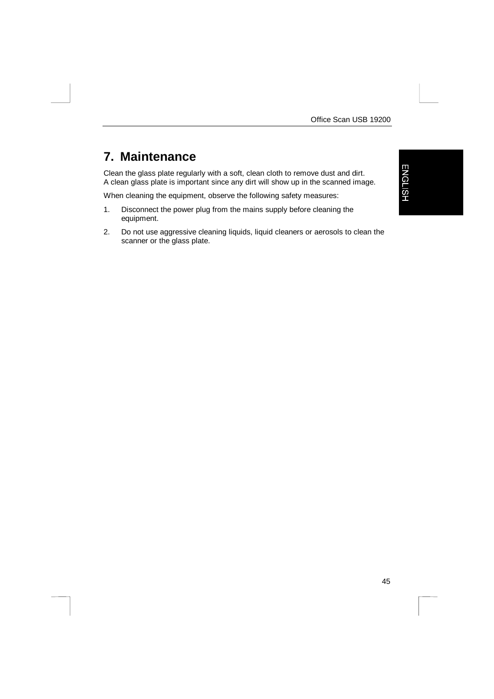# **7. Maintenance**

Clean the glass plate regularly with a soft, clean cloth to remove dust and dirt. A clean glass plate is important since any dirt will show up in the scanned image.

When cleaning the equipment, observe the following safety measures:

- 1. Disconnect the power plug from the mains supply before cleaning the equipment.
- 2. Do not use aggressive cleaning liquids, liquid cleaners or aerosols to clean the scanner or the glass plate.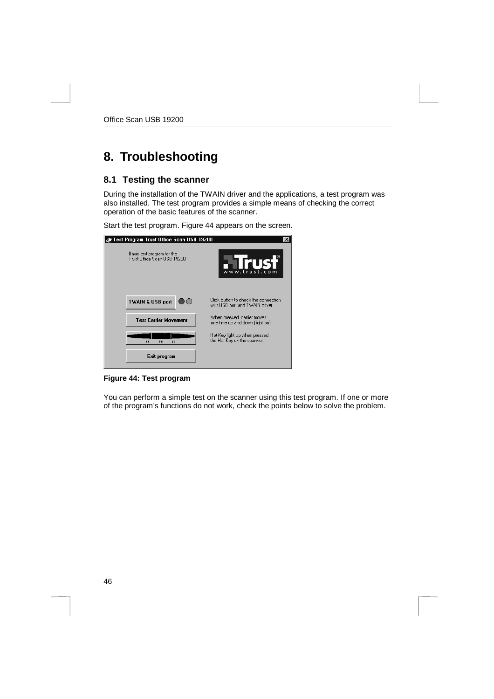# **8. Troubleshooting**

## **8.1 Testing the scanner**

During the installation of the TWAIN driver and the applications, a test program was also installed. The test program provides a simple means of checking the correct operation of the basic features of the scanner.

Start the test program. Figure 44 appears on the screen.

| Test Program Trust Office Scan USB 19200                   |                                                                         |  |
|------------------------------------------------------------|-------------------------------------------------------------------------|--|
| Basic test program for the<br>Trust Office Scan USB 19200. | ww.trust.com                                                            |  |
| <b>TWAIN &amp; USB port</b>                                | Click button to check the connection<br>with USB port and TWAIN driver. |  |
| <b>Test Carrier Movement</b>                               | When pressed, carrier moves<br>one time up and down (light on).         |  |
| F <sub>1</sub><br>F2<br>F3                                 | Hot-Key light up when pressed<br>the Hot-Key on the scanner.            |  |
| Exit program                                               |                                                                         |  |

**Figure 44: Test program**

You can perform a simple test on the scanner using this test program. If one or more of the program's functions do not work, check the points below to solve the problem.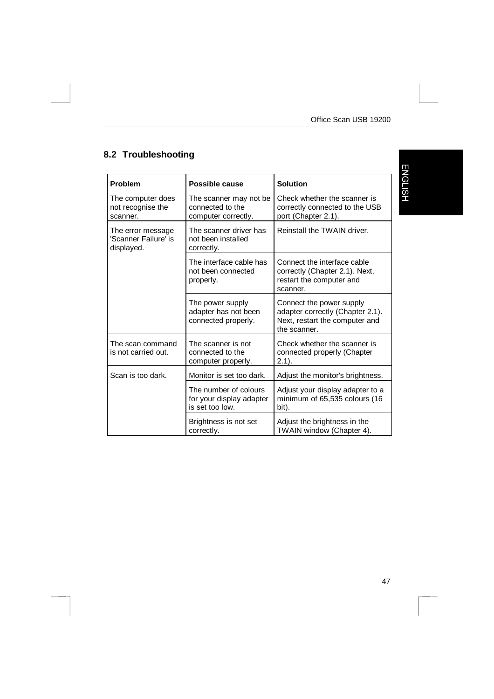**ENGLISH** 

| Problem                                                 | <b>Possible cause</b>                                                | <b>Solution</b>                                                                                                |  |
|---------------------------------------------------------|----------------------------------------------------------------------|----------------------------------------------------------------------------------------------------------------|--|
| The computer does<br>not recognise the<br>scanner.      | The scanner may not be<br>connected to the<br>computer correctly.    | Check whether the scanner is<br>correctly connected to the USB<br>port (Chapter 2.1).                          |  |
| The error message<br>'Scanner Failure' is<br>displayed. | The scanner driver has<br>not been installed<br>correctly.           | Reinstall the TWAIN driver.                                                                                    |  |
|                                                         | The interface cable has<br>not been connected<br>properly.           | Connect the interface cable<br>correctly (Chapter 2.1). Next,<br>restart the computer and<br>scanner.          |  |
|                                                         | The power supply<br>adapter has not been<br>connected properly.      | Connect the power supply<br>adapter correctly (Chapter 2.1).<br>Next, restart the computer and<br>the scanner. |  |
| The scan command<br>is not carried out.                 | The scanner is not<br>connected to the<br>computer properly.         | Check whether the scanner is<br>connected properly (Chapter<br>$2.1$ ).                                        |  |
| Scan is too dark.                                       | Monitor is set too dark.                                             | Adjust the monitor's brightness.                                                                               |  |
|                                                         | The number of colours<br>for your display adapter<br>is set too low. | Adjust your display adapter to a<br>minimum of 65,535 colours (16<br>bit).                                     |  |
|                                                         | Brightness is not set<br>correctly.                                  | Adjust the brightness in the<br>TWAIN window (Chapter 4).                                                      |  |

# **8.2 Troubleshooting**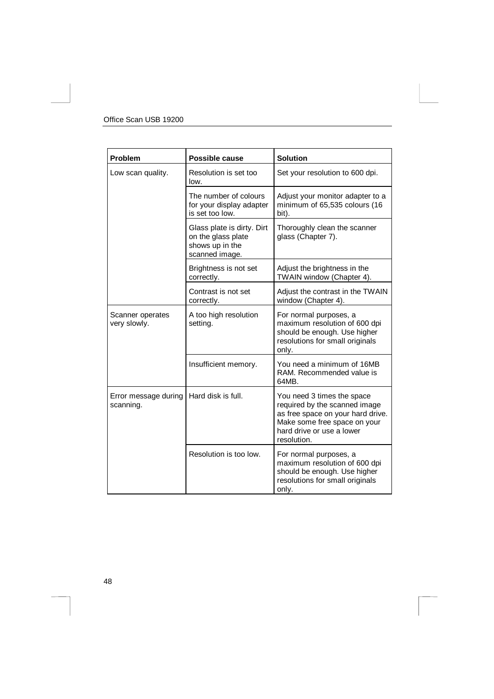| Problem                           | Possible cause                                                                        | <b>Solution</b>                                                                                                                                                              |
|-----------------------------------|---------------------------------------------------------------------------------------|------------------------------------------------------------------------------------------------------------------------------------------------------------------------------|
| Low scan quality.                 | Resolution is set too<br>low.                                                         | Set your resolution to 600 dpi.                                                                                                                                              |
|                                   | The number of colours<br>for your display adapter<br>is set too low.                  | Adjust your monitor adapter to a<br>minimum of 65,535 colours (16<br>bit).                                                                                                   |
|                                   | Glass plate is dirty. Dirt<br>on the glass plate<br>shows up in the<br>scanned image. | Thoroughly clean the scanner<br>glass (Chapter 7).                                                                                                                           |
|                                   | Brightness is not set<br>correctly.                                                   | Adjust the brightness in the<br>TWAIN window (Chapter 4).                                                                                                                    |
|                                   | Contrast is not set<br>correctly.                                                     | Adjust the contrast in the TWAIN<br>window (Chapter 4).                                                                                                                      |
| Scanner operates<br>very slowly.  | A too high resolution<br>setting.                                                     | For normal purposes, a<br>maximum resolution of 600 dpi<br>should be enough. Use higher<br>resolutions for small originals<br>only.                                          |
|                                   | Insufficient memory.                                                                  | You need a minimum of 16MB<br>RAM. Recommended value is<br>64MB.                                                                                                             |
| Error message during<br>scanning. | Hard disk is full.                                                                    | You need 3 times the space<br>required by the scanned image<br>as free space on your hard drive.<br>Make some free space on your<br>hard drive or use a lower<br>resolution. |
|                                   | Resolution is too low.                                                                | For normal purposes, a<br>maximum resolution of 600 dpi<br>should be enough. Use higher<br>resolutions for small originals<br>only.                                          |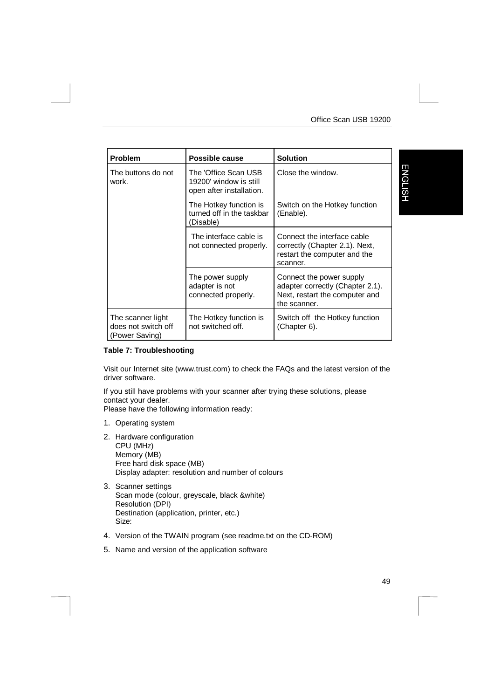| <b>Problem</b>                                             | Possible cause                                                             | <b>Solution</b>                                                                                                |
|------------------------------------------------------------|----------------------------------------------------------------------------|----------------------------------------------------------------------------------------------------------------|
| The buttons do not<br>work.                                | The 'Office Scan USB<br>19200' window is still<br>open after installation. | Close the window.                                                                                              |
|                                                            | The Hotkey function is<br>turned off in the taskbar<br>(Disable)           | Switch on the Hotkey function<br>(Enable).                                                                     |
|                                                            | The interface cable is<br>not connected properly.                          | Connect the interface cable<br>correctly (Chapter 2.1). Next,<br>restart the computer and the<br>scanner.      |
|                                                            | The power supply<br>adapter is not<br>connected properly.                  | Connect the power supply<br>adapter correctly (Chapter 2.1).<br>Next, restart the computer and<br>the scanner. |
| The scanner light<br>does not switch off<br>(Power Saving) | The Hotkey function is<br>not switched off.                                | Switch off the Hotkey function<br>(Chapter 6).                                                                 |

## **Table 7: Troubleshooting**

Visit our Internet site (www.trust.com) to check the FAQs and the latest version of the driver software.

If you still have problems with your scanner after trying these solutions, please contact your dealer.

Please have the following information ready:

- 1. Operating system
- 2. Hardware configuration CPU (MHz) Memory (MB) Free hard disk space (MB) Display adapter: resolution and number of colours
- 3. Scanner settings Scan mode (colour, greyscale, black &white) Resolution (DPI) Destination (application, printer, etc.) Size:
- 4. Version of the TWAIN program (see readme.txt on the CD-ROM)
- 5. Name and version of the application software

**ENGLISH** 

49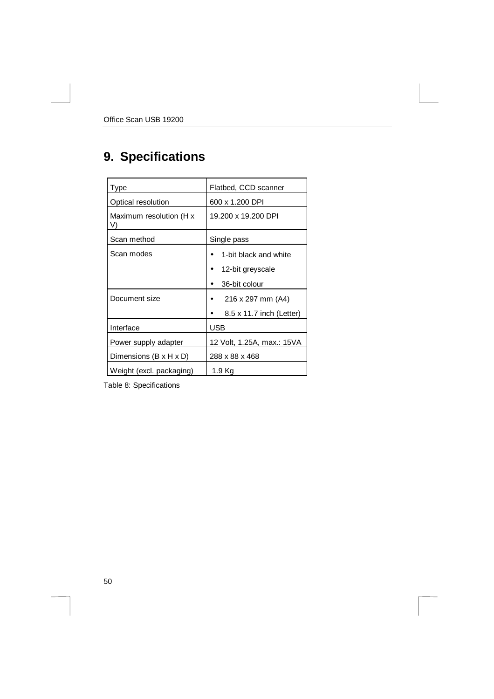# **9. Specifications**

| Type                               | Flatbed, CCD scanner               |
|------------------------------------|------------------------------------|
| Optical resolution                 | 600 x 1.200 DPI                    |
| Maximum resolution (H x<br>V)      | 19.200 x 19.200 DPI                |
| Scan method                        | Single pass                        |
| Scan modes                         | 1-bit black and white<br>$\bullet$ |
|                                    | 12-bit greyscale                   |
|                                    | 36-bit colour                      |
| Document size                      | 216 x 297 mm (A4)                  |
|                                    | 8.5 x 11.7 inch (Letter)           |
| Interface                          | <b>USB</b>                         |
| Power supply adapter               | 12 Volt, 1.25A, max.: 15VA         |
| Dimensions $(B \times H \times D)$ | 288 x 88 x 468                     |
| Weight (excl. packaging)           | 1.9 Kg                             |

Table 8: Specifications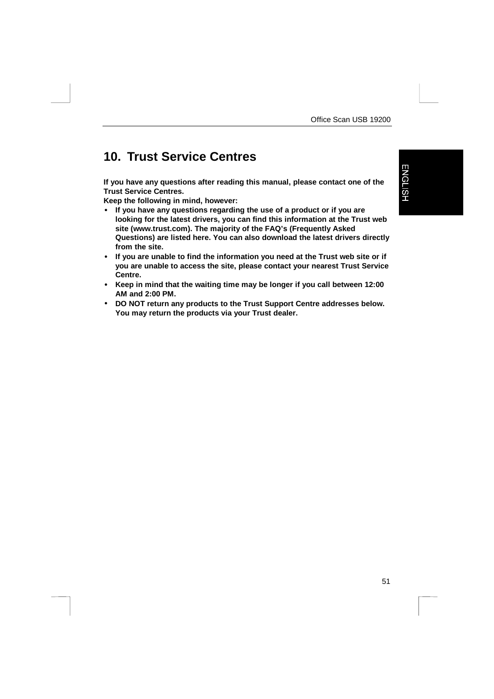# **10. Trust Service Centres**

**If you have any questions after reading this manual, please contact one of the Trust Service Centres.**

**Keep the following in mind, however:**

- **If you have any questions regarding the use of a product or if you are looking for the latest drivers, you can find this information at the Trust web site (www.trust.com). The majority of the FAQ's (Frequently Asked Questions) are listed here. You can also download the latest drivers directly from the site.**
- **If you are unable to find the information you need at the Trust web site or if you are unable to access the site, please contact your nearest Trust Service Centre.**
- **Keep in mind that the waiting time may be longer if you call between 12:00 AM and 2:00 PM.**
- **DO NOT return any products to the Trust Support Centre addresses below. You may return the products via your Trust dealer.**